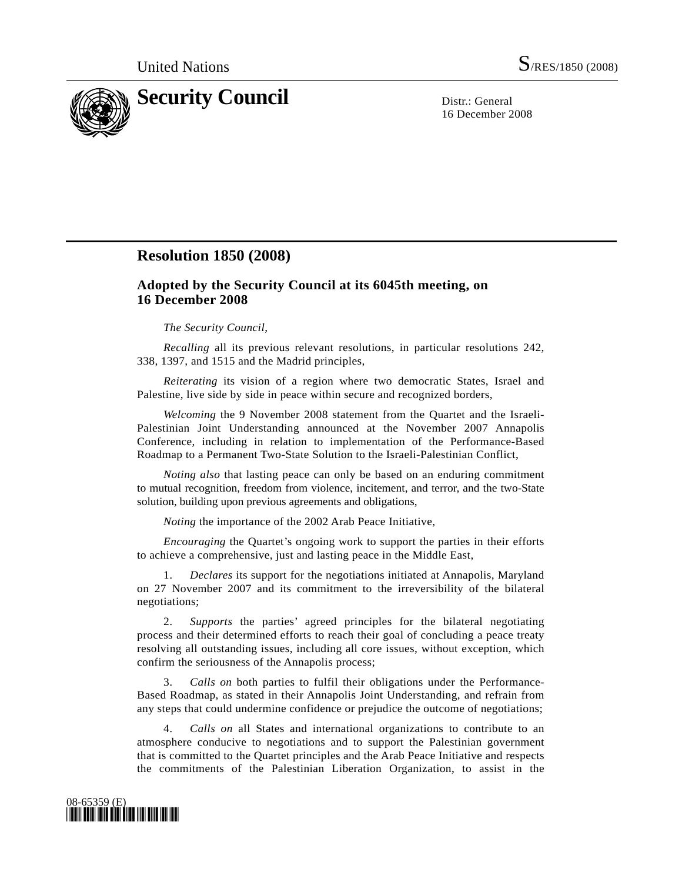

16 December 2008

## **Resolution 1850 (2008)**

## **Adopted by the Security Council at its 6045th meeting, on 16 December 2008**

## *The Security Council*,

*Recalling* all its previous relevant resolutions, in particular resolutions 242, 338, 1397, and 1515 and the Madrid principles,

*Reiterating* its vision of a region where two democratic States, Israel and Palestine, live side by side in peace within secure and recognized borders,

*Welcoming* the 9 November 2008 statement from the Quartet and the Israeli-Palestinian Joint Understanding announced at the November 2007 Annapolis Conference, including in relation to implementation of the Performance-Based Roadmap to a Permanent Two-State Solution to the Israeli-Palestinian Conflict,

*Noting also* that lasting peace can only be based on an enduring commitment to mutual recognition, freedom from violence, incitement, and terror, and the two-State solution, building upon previous agreements and obligations,

*Noting* the importance of the 2002 Arab Peace Initiative,

*Encouraging* the Quartet's ongoing work to support the parties in their efforts to achieve a comprehensive, just and lasting peace in the Middle East,

 1. *Declares* its support for the negotiations initiated at Annapolis, Maryland on 27 November 2007 and its commitment to the irreversibility of the bilateral negotiations;

 2. *Supports* the parties' agreed principles for the bilateral negotiating process and their determined efforts to reach their goal of concluding a peace treaty resolving all outstanding issues, including all core issues, without exception, which confirm the seriousness of the Annapolis process;

 3. *Calls on* both parties to fulfil their obligations under the Performance-Based Roadmap, as stated in their Annapolis Joint Understanding, and refrain from any steps that could undermine confidence or prejudice the outcome of negotiations;

 4. *Calls on* all States and international organizations to contribute to an atmosphere conducive to negotiations and to support the Palestinian government that is committed to the Quartet principles and the Arab Peace Initiative and respects the commitments of the Palestinian Liberation Organization, to assist in the